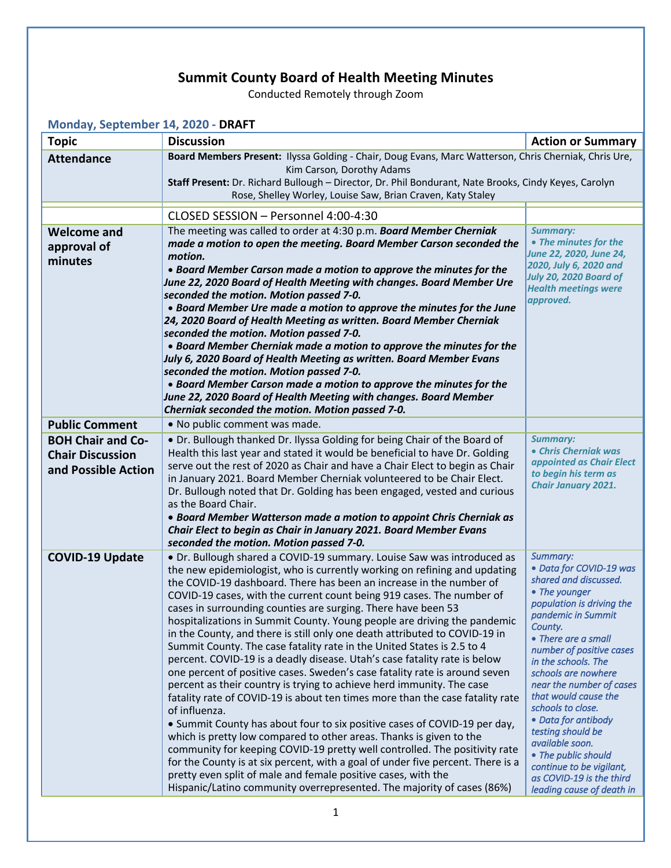## **Summit County Board of Health Meeting Minutes**

Conducted Remotely through Zoom

| Monday, September 14, 2020 - DRAFT                                         |                                                                                                                                                                                                                                                                                                                                                                                                                                                                                                                                                                                                                                                                                                                                                                                                                                                                                                                                                                                                                                                                                                                                                                                                                                                                                                                                                                                                                |                                                                                                                                                                                                                                                                                                                                                                                                                                                                                                  |  |
|----------------------------------------------------------------------------|----------------------------------------------------------------------------------------------------------------------------------------------------------------------------------------------------------------------------------------------------------------------------------------------------------------------------------------------------------------------------------------------------------------------------------------------------------------------------------------------------------------------------------------------------------------------------------------------------------------------------------------------------------------------------------------------------------------------------------------------------------------------------------------------------------------------------------------------------------------------------------------------------------------------------------------------------------------------------------------------------------------------------------------------------------------------------------------------------------------------------------------------------------------------------------------------------------------------------------------------------------------------------------------------------------------------------------------------------------------------------------------------------------------|--------------------------------------------------------------------------------------------------------------------------------------------------------------------------------------------------------------------------------------------------------------------------------------------------------------------------------------------------------------------------------------------------------------------------------------------------------------------------------------------------|--|
| <b>Topic</b>                                                               | <b>Discussion</b>                                                                                                                                                                                                                                                                                                                                                                                                                                                                                                                                                                                                                                                                                                                                                                                                                                                                                                                                                                                                                                                                                                                                                                                                                                                                                                                                                                                              | <b>Action or Summary</b>                                                                                                                                                                                                                                                                                                                                                                                                                                                                         |  |
| <b>Attendance</b>                                                          | Board Members Present: Ilyssa Golding - Chair, Doug Evans, Marc Watterson, Chris Cherniak, Chris Ure,<br>Kim Carson, Dorothy Adams<br>Staff Present: Dr. Richard Bullough - Director, Dr. Phil Bondurant, Nate Brooks, Cindy Keyes, Carolyn<br>Rose, Shelley Worley, Louise Saw, Brian Craven, Katy Staley                                                                                                                                                                                                                                                                                                                                                                                                                                                                                                                                                                                                                                                                                                                                                                                                                                                                                                                                                                                                                                                                                                     |                                                                                                                                                                                                                                                                                                                                                                                                                                                                                                  |  |
|                                                                            | CLOSED SESSION - Personnel 4:00-4:30                                                                                                                                                                                                                                                                                                                                                                                                                                                                                                                                                                                                                                                                                                                                                                                                                                                                                                                                                                                                                                                                                                                                                                                                                                                                                                                                                                           |                                                                                                                                                                                                                                                                                                                                                                                                                                                                                                  |  |
| <b>Welcome and</b><br>approval of<br>minutes                               | The meeting was called to order at 4:30 p.m. Board Member Cherniak<br>made a motion to open the meeting. Board Member Carson seconded the<br>motion.<br>• Board Member Carson made a motion to approve the minutes for the<br>June 22, 2020 Board of Health Meeting with changes. Board Member Ure<br>seconded the motion. Motion passed 7-0.<br>• Board Member Ure made a motion to approve the minutes for the June<br>24, 2020 Board of Health Meeting as written. Board Member Cherniak<br>seconded the motion. Motion passed 7-0.<br>• Board Member Cherniak made a motion to approve the minutes for the<br>July 6, 2020 Board of Health Meeting as written. Board Member Evans<br>seconded the motion. Motion passed 7-0.<br>• Board Member Carson made a motion to approve the minutes for the<br>June 22, 2020 Board of Health Meeting with changes. Board Member<br>Cherniak seconded the motion. Motion passed 7-0.                                                                                                                                                                                                                                                                                                                                                                                                                                                                                 | <b>Summary:</b><br>• The minutes for the<br>June 22, 2020, June 24,<br>2020, July 6, 2020 and<br>July 20, 2020 Board of<br><b>Health meetings were</b><br>approved.                                                                                                                                                                                                                                                                                                                              |  |
| <b>Public Comment</b>                                                      | . No public comment was made.                                                                                                                                                                                                                                                                                                                                                                                                                                                                                                                                                                                                                                                                                                                                                                                                                                                                                                                                                                                                                                                                                                                                                                                                                                                                                                                                                                                  |                                                                                                                                                                                                                                                                                                                                                                                                                                                                                                  |  |
| <b>BOH Chair and Co-</b><br><b>Chair Discussion</b><br>and Possible Action | • Dr. Bullough thanked Dr. Ilyssa Golding for being Chair of the Board of<br>Health this last year and stated it would be beneficial to have Dr. Golding<br>serve out the rest of 2020 as Chair and have a Chair Elect to begin as Chair<br>in January 2021. Board Member Cherniak volunteered to be Chair Elect.<br>Dr. Bullough noted that Dr. Golding has been engaged, vested and curious<br>as the Board Chair.<br>• Board Member Watterson made a motion to appoint Chris Cherniak as<br>Chair Elect to begin as Chair in January 2021. Board Member Evans<br>seconded the motion. Motion passed 7-0.                                                                                                                                                                                                                                                                                                                                                                                                                                                                                                                                                                                                                                                                                                                                                                                                    | <b>Summary:</b><br>• Chris Cherniak was<br>appointed as Chair Elect<br>to begin his term as<br><b>Chair January 2021.</b>                                                                                                                                                                                                                                                                                                                                                                        |  |
| <b>COVID-19 Update</b>                                                     | • Dr. Bullough shared a COVID-19 summary. Louise Saw was introduced as<br>the new epidemiologist, who is currently working on refining and updating<br>the COVID-19 dashboard. There has been an increase in the number of<br>COVID-19 cases, with the current count being 919 cases. The number of<br>cases in surrounding counties are surging. There have been 53<br>hospitalizations in Summit County. Young people are driving the pandemic<br>in the County, and there is still only one death attributed to COVID-19 in<br>Summit County. The case fatality rate in the United States is 2.5 to 4<br>percent. COVID-19 is a deadly disease. Utah's case fatality rate is below<br>one percent of positive cases. Sweden's case fatality rate is around seven<br>percent as their country is trying to achieve herd immunity. The case<br>fatality rate of COVID-19 is about ten times more than the case fatality rate<br>of influenza.<br>• Summit County has about four to six positive cases of COVID-19 per day,<br>which is pretty low compared to other areas. Thanks is given to the<br>community for keeping COVID-19 pretty well controlled. The positivity rate<br>for the County is at six percent, with a goal of under five percent. There is a<br>pretty even split of male and female positive cases, with the<br>Hispanic/Latino community overrepresented. The majority of cases (86%) | Summary:<br>· Data for COVID-19 was<br>shared and discussed.<br>• The younger<br>population is driving the<br>pandemic in Summit<br>County.<br>• There are a small<br>number of positive cases<br>in the schools. The<br>schools are nowhere<br>near the number of cases<br>that would cause the<br>schools to close.<br>• Data for antibody<br>testing should be<br>available soon.<br>• The public should<br>continue to be vigilant,<br>as COVID-19 is the third<br>leading cause of death in |  |
| 1                                                                          |                                                                                                                                                                                                                                                                                                                                                                                                                                                                                                                                                                                                                                                                                                                                                                                                                                                                                                                                                                                                                                                                                                                                                                                                                                                                                                                                                                                                                |                                                                                                                                                                                                                                                                                                                                                                                                                                                                                                  |  |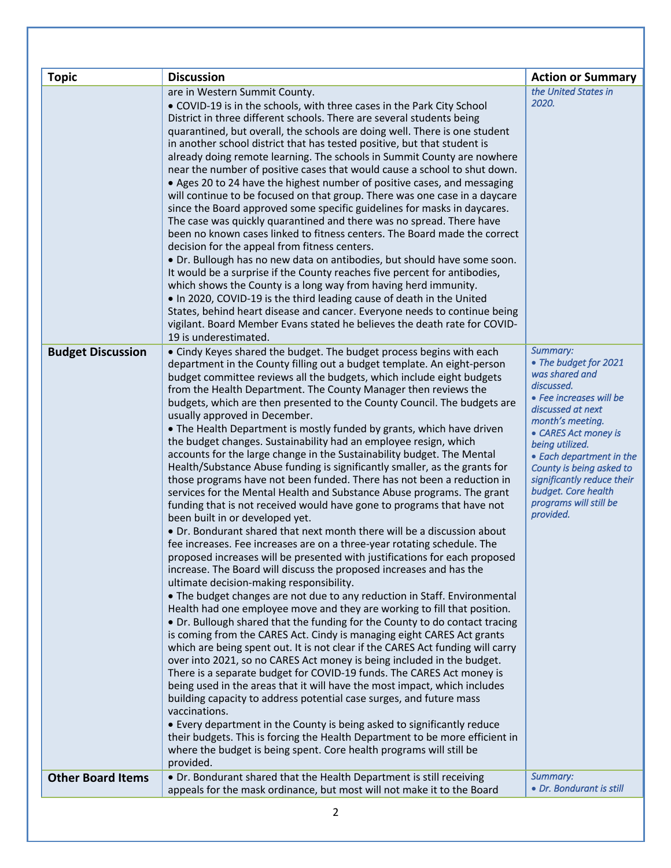| <b>Action or Summary</b><br>the United States in<br>are in Western Summit County.<br>2020.<br>• COVID-19 is in the schools, with three cases in the Park City School<br>District in three different schools. There are several students being<br>quarantined, but overall, the schools are doing well. There is one student<br>in another school district that has tested positive, but that student is<br>already doing remote learning. The schools in Summit County are nowhere<br>near the number of positive cases that would cause a school to shut down.<br>• Ages 20 to 24 have the highest number of positive cases, and messaging<br>will continue to be focused on that group. There was one case in a daycare<br>since the Board approved some specific guidelines for masks in daycares.<br>The case was quickly quarantined and there was no spread. There have<br>been no known cases linked to fitness centers. The Board made the correct<br>decision for the appeal from fitness centers.<br>. Dr. Bullough has no new data on antibodies, but should have some soon.<br>It would be a surprise if the County reaches five percent for antibodies,<br>which shows the County is a long way from having herd immunity.<br>. In 2020, COVID-19 is the third leading cause of death in the United<br>States, behind heart disease and cancer. Everyone needs to continue being<br>vigilant. Board Member Evans stated he believes the death rate for COVID-<br>19 is underestimated.<br>Summary:<br>• Cindy Keyes shared the budget. The budget process begins with each<br><b>Budget Discussion</b><br>• The budget for 2021<br>department in the County filling out a budget template. An eight-person<br>was shared and<br>budget committee reviews all the budgets, which include eight budgets<br>discussed.<br>from the Health Department. The County Manager then reviews the<br>• Fee increases will be<br>budgets, which are then presented to the County Council. The budgets are<br>discussed at next<br>usually approved in December.<br>month's meeting.<br>• The Health Department is mostly funded by grants, which have driven<br>• CARES Act money is<br>the budget changes. Sustainability had an employee resign, which<br>being utilized.<br>accounts for the large change in the Sustainability budget. The Mental<br>• Each department in the<br>Health/Substance Abuse funding is significantly smaller, as the grants for<br>County is being asked to<br>those programs have not been funded. There has not been a reduction in<br>significantly reduce their<br>budget. Core health<br>services for the Mental Health and Substance Abuse programs. The grant<br>programs will still be<br>funding that is not received would have gone to programs that have not<br>provided.<br>been built in or developed yet.<br>• Dr. Bondurant shared that next month there will be a discussion about<br>fee increases. Fee increases are on a three-year rotating schedule. The<br>proposed increases will be presented with justifications for each proposed<br>increase. The Board will discuss the proposed increases and has the<br>ultimate decision-making responsibility.<br>• The budget changes are not due to any reduction in Staff. Environmental<br>Health had one employee move and they are working to fill that position.<br>• Dr. Bullough shared that the funding for the County to do contact tracing<br>is coming from the CARES Act. Cindy is managing eight CARES Act grants<br>which are being spent out. It is not clear if the CARES Act funding will carry<br>over into 2021, so no CARES Act money is being included in the budget.<br>There is a separate budget for COVID-19 funds. The CARES Act money is<br>being used in the areas that it will have the most impact, which includes<br>building capacity to address potential case surges, and future mass<br>vaccinations.<br>• Every department in the County is being asked to significantly reduce<br>their budgets. This is forcing the Health Department to be more efficient in<br>where the budget is being spent. Core health programs will still be<br>provided.<br>Summary:<br><b>Other Board Items</b><br>• Dr. Bondurant shared that the Health Department is still receiving<br>• Dr. Bondurant is still<br>appeals for the mask ordinance, but most will not make it to the Board |              |                   |  |
|-------------------------------------------------------------------------------------------------------------------------------------------------------------------------------------------------------------------------------------------------------------------------------------------------------------------------------------------------------------------------------------------------------------------------------------------------------------------------------------------------------------------------------------------------------------------------------------------------------------------------------------------------------------------------------------------------------------------------------------------------------------------------------------------------------------------------------------------------------------------------------------------------------------------------------------------------------------------------------------------------------------------------------------------------------------------------------------------------------------------------------------------------------------------------------------------------------------------------------------------------------------------------------------------------------------------------------------------------------------------------------------------------------------------------------------------------------------------------------------------------------------------------------------------------------------------------------------------------------------------------------------------------------------------------------------------------------------------------------------------------------------------------------------------------------------------------------------------------------------------------------------------------------------------------------------------------------------------------------------------------------------------------------------------------------------------------------------------------------------------------------------------------------------------------------------------------------------------------------------------------------------------------------------------------------------------------------------------------------------------------------------------------------------------------------------------------------------------------------------------------------------------------------------------------------------------------------------------------------------------------------------------------------------------------------------------------------------------------------------------------------------------------------------------------------------------------------------------------------------------------------------------------------------------------------------------------------------------------------------------------------------------------------------------------------------------------------------------------------------------------------------------------------------------------------------------------------------------------------------------------------------------------------------------------------------------------------------------------------------------------------------------------------------------------------------------------------------------------------------------------------------------------------------------------------------------------------------------------------------------------------------------------------------------------------------------------------------------------------------------------------------------------------------------------------------------------------------------------------------------------------------------------------------------------------------------------------------------------------------------------------------------------------------------------------------------------------------------------------------------------------------------------------------------------------------------------------------------------------------------------------------------------------------------------------------------------------------------------------------------------------------------------------------------|--------------|-------------------|--|
|                                                                                                                                                                                                                                                                                                                                                                                                                                                                                                                                                                                                                                                                                                                                                                                                                                                                                                                                                                                                                                                                                                                                                                                                                                                                                                                                                                                                                                                                                                                                                                                                                                                                                                                                                                                                                                                                                                                                                                                                                                                                                                                                                                                                                                                                                                                                                                                                                                                                                                                                                                                                                                                                                                                                                                                                                                                                                                                                                                                                                                                                                                                                                                                                                                                                                                                                                                                                                                                                                                                                                                                                                                                                                                                                                                                                                                                                                                                                                                                                                                                                                                                                                                                                                                                                                                                                                                                                                   | <b>Topic</b> | <b>Discussion</b> |  |
|                                                                                                                                                                                                                                                                                                                                                                                                                                                                                                                                                                                                                                                                                                                                                                                                                                                                                                                                                                                                                                                                                                                                                                                                                                                                                                                                                                                                                                                                                                                                                                                                                                                                                                                                                                                                                                                                                                                                                                                                                                                                                                                                                                                                                                                                                                                                                                                                                                                                                                                                                                                                                                                                                                                                                                                                                                                                                                                                                                                                                                                                                                                                                                                                                                                                                                                                                                                                                                                                                                                                                                                                                                                                                                                                                                                                                                                                                                                                                                                                                                                                                                                                                                                                                                                                                                                                                                                                                   |              |                   |  |
|                                                                                                                                                                                                                                                                                                                                                                                                                                                                                                                                                                                                                                                                                                                                                                                                                                                                                                                                                                                                                                                                                                                                                                                                                                                                                                                                                                                                                                                                                                                                                                                                                                                                                                                                                                                                                                                                                                                                                                                                                                                                                                                                                                                                                                                                                                                                                                                                                                                                                                                                                                                                                                                                                                                                                                                                                                                                                                                                                                                                                                                                                                                                                                                                                                                                                                                                                                                                                                                                                                                                                                                                                                                                                                                                                                                                                                                                                                                                                                                                                                                                                                                                                                                                                                                                                                                                                                                                                   |              |                   |  |
|                                                                                                                                                                                                                                                                                                                                                                                                                                                                                                                                                                                                                                                                                                                                                                                                                                                                                                                                                                                                                                                                                                                                                                                                                                                                                                                                                                                                                                                                                                                                                                                                                                                                                                                                                                                                                                                                                                                                                                                                                                                                                                                                                                                                                                                                                                                                                                                                                                                                                                                                                                                                                                                                                                                                                                                                                                                                                                                                                                                                                                                                                                                                                                                                                                                                                                                                                                                                                                                                                                                                                                                                                                                                                                                                                                                                                                                                                                                                                                                                                                                                                                                                                                                                                                                                                                                                                                                                                   |              |                   |  |
|                                                                                                                                                                                                                                                                                                                                                                                                                                                                                                                                                                                                                                                                                                                                                                                                                                                                                                                                                                                                                                                                                                                                                                                                                                                                                                                                                                                                                                                                                                                                                                                                                                                                                                                                                                                                                                                                                                                                                                                                                                                                                                                                                                                                                                                                                                                                                                                                                                                                                                                                                                                                                                                                                                                                                                                                                                                                                                                                                                                                                                                                                                                                                                                                                                                                                                                                                                                                                                                                                                                                                                                                                                                                                                                                                                                                                                                                                                                                                                                                                                                                                                                                                                                                                                                                                                                                                                                                                   |              |                   |  |